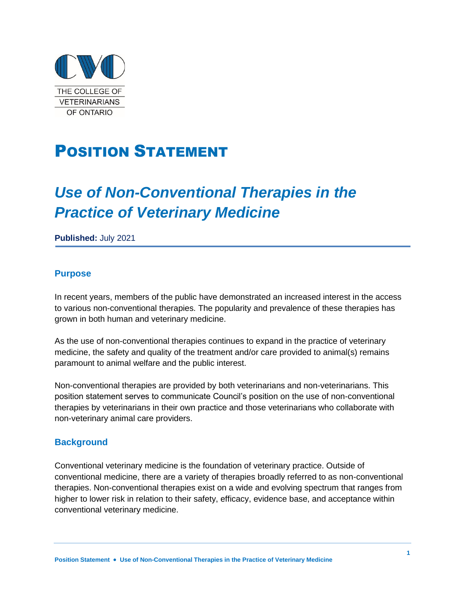

## POSITION STATEMENT

# *Use of Non-Conventional Therapies in the Practice of Veterinary Medicine*

**Published:** July 2021

#### **Purpose**

In recent years, members of the public have demonstrated an increased interest in the access to various non-conventional therapies. The popularity and prevalence of these therapies has grown in both human and veterinary medicine.

As the use of non-conventional therapies continues to expand in the practice of veterinary medicine, the safety and quality of the treatment and/or care provided to animal(s) remains paramount to animal welfare and the public interest.

Non-conventional therapies are provided by both veterinarians and non-veterinarians. This position statement serves to communicate Council's position on the use of non-conventional therapies by veterinarians in their own practice and those veterinarians who collaborate with non-veterinary animal care providers.

#### **Background**

Conventional veterinary medicine is the foundation of veterinary practice. Outside of conventional medicine, there are a variety of therapies broadly referred to as non-conventional therapies. Non-conventional therapies exist on a wide and evolving spectrum that ranges from higher to lower risk in relation to their safety, efficacy, evidence base, and acceptance within conventional veterinary medicine.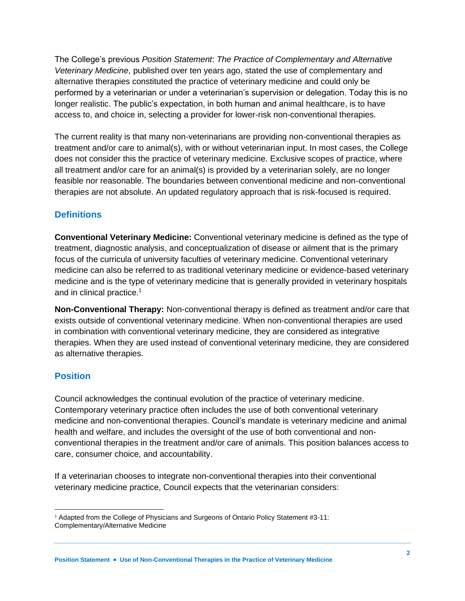The College's previous *Position Statement*: *The Practice of Complementary and Alternative Veterinary Medicine*, published over ten years ago, stated the use of complementary and alternative therapies constituted the practice of veterinary medicine and could only be performed by a veterinarian or under a veterinarian's supervision or delegation. Today this is no longer realistic. The public's expectation, in both human and animal healthcare, is to have access to, and choice in, selecting a provider for lower-risk non-conventional therapies.

The current reality is that many non-veterinarians are providing non-conventional therapies as treatment and/or care to animal(s), with or without veterinarian input. In most cases, the College does not consider this the practice of veterinary medicine. Exclusive scopes of practice, where all treatment and/or care for an animal(s) is provided by a veterinarian solely, are no longer feasible nor reasonable. The boundaries between conventional medicine and non-conventional therapies are not absolute. An updated regulatory approach that is risk-focused is required.

### **Definitions**

**Conventional Veterinary Medicine:** Conventional veterinary medicine is defined as the type of treatment, diagnostic analysis, and conceptualization of disease or ailment that is the primary focus of the curricula of university faculties of veterinary medicine. Conventional veterinary medicine can also be referred to as traditional veterinary medicine or evidence-based veterinary medicine and is the type of veterinary medicine that is generally provided in veterinary hospitals and in clinical practice.<sup>1</sup>

**Non-Conventional Therapy:** Non-conventional therapy is defined as treatment and/or care that exists outside of conventional veterinary medicine. When non-conventional therapies are used in combination with conventional veterinary medicine, they are considered as integrative therapies. When they are used instead of conventional veterinary medicine, they are considered as alternative therapies.

### **Position**

Council acknowledges the continual evolution of the practice of veterinary medicine. Contemporary veterinary practice often includes the use of both conventional veterinary medicine and non-conventional therapies. Council's mandate is veterinary medicine and animal health and welfare, and includes the oversight of the use of both conventional and nonconventional therapies in the treatment and/or care of animals. This position balances access to care, consumer choice, and accountability.

If a veterinarian chooses to integrate non-conventional therapies into their conventional veterinary medicine practice, Council expects that the veterinarian considers:

<sup>&</sup>lt;sup>1</sup> Adapted from the College of Physicians and Surgeons of Ontario Policy Statement #3-11: Complementary/Alternative Medicine